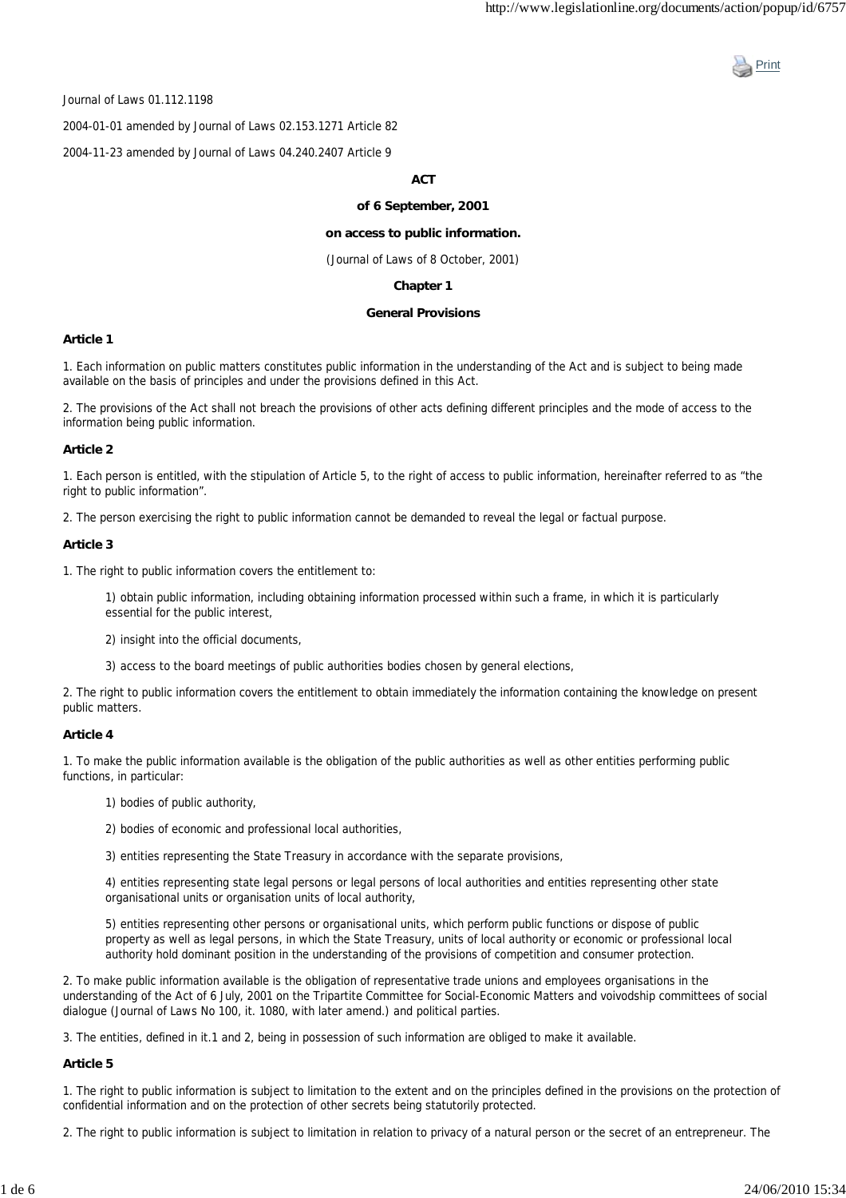

Journal of Laws 01.112.1198

2004-01-01 amended by Journal of Laws 02.153.1271 Article 82

2004-11-23 amended by Journal of Laws 04.240.2407 Article 9

## **ACT**

#### **of 6 September, 2001**

# **on access to public information.**

(Journal of Laws of 8 October, 2001)

#### **Chapter 1**

### **General Provisions**

### **Article 1**

1. Each information on public matters constitutes public information in the understanding of the Act and is subject to being made available on the basis of principles and under the provisions defined in this Act.

2. The provisions of the Act shall not breach the provisions of other acts defining different principles and the mode of access to the information being public information.

#### **Article 2**

1. Each person is entitled, with the stipulation of Article 5, to the right of access to public information, hereinafter referred to as "the right to public information".

2. The person exercising the right to public information cannot be demanded to reveal the legal or factual purpose.

#### **Article 3**

1. The right to public information covers the entitlement to:

1) obtain public information, including obtaining information processed within such a frame, in which it is particularly essential for the public interest,

2) insight into the official documents,

3) access to the board meetings of public authorities bodies chosen by general elections,

2. The right to public information covers the entitlement to obtain immediately the information containing the knowledge on present public matters.

### **Article 4**

1. To make the public information available is the obligation of the public authorities as well as other entities performing public functions, in particular:

1) bodies of public authority,

2) bodies of economic and professional local authorities,

3) entities representing the State Treasury in accordance with the separate provisions,

4) entities representing state legal persons or legal persons of local authorities and entities representing other state organisational units or organisation units of local authority,

5) entities representing other persons or organisational units, which perform public functions or dispose of public property as well as legal persons, in which the State Treasury, units of local authority or economic or professional local authority hold dominant position in the understanding of the provisions of competition and consumer protection.

2. To make public information available is the obligation of representative trade unions and employees organisations in the understanding of the Act of 6 July, 2001 on the Tripartite Committee for Social-Economic Matters and voivodship committees of social dialogue (Journal of Laws No 100, it. 1080, with later amend.) and political parties.

3. The entities, defined in it.1 and 2, being in possession of such information are obliged to make it available.

#### **Article 5**

1. The right to public information is subject to limitation to the extent and on the principles defined in the provisions on the protection of confidential information and on the protection of other secrets being statutorily protected.

2. The right to public information is subject to limitation in relation to privacy of a natural person or the secret of an entrepreneur. The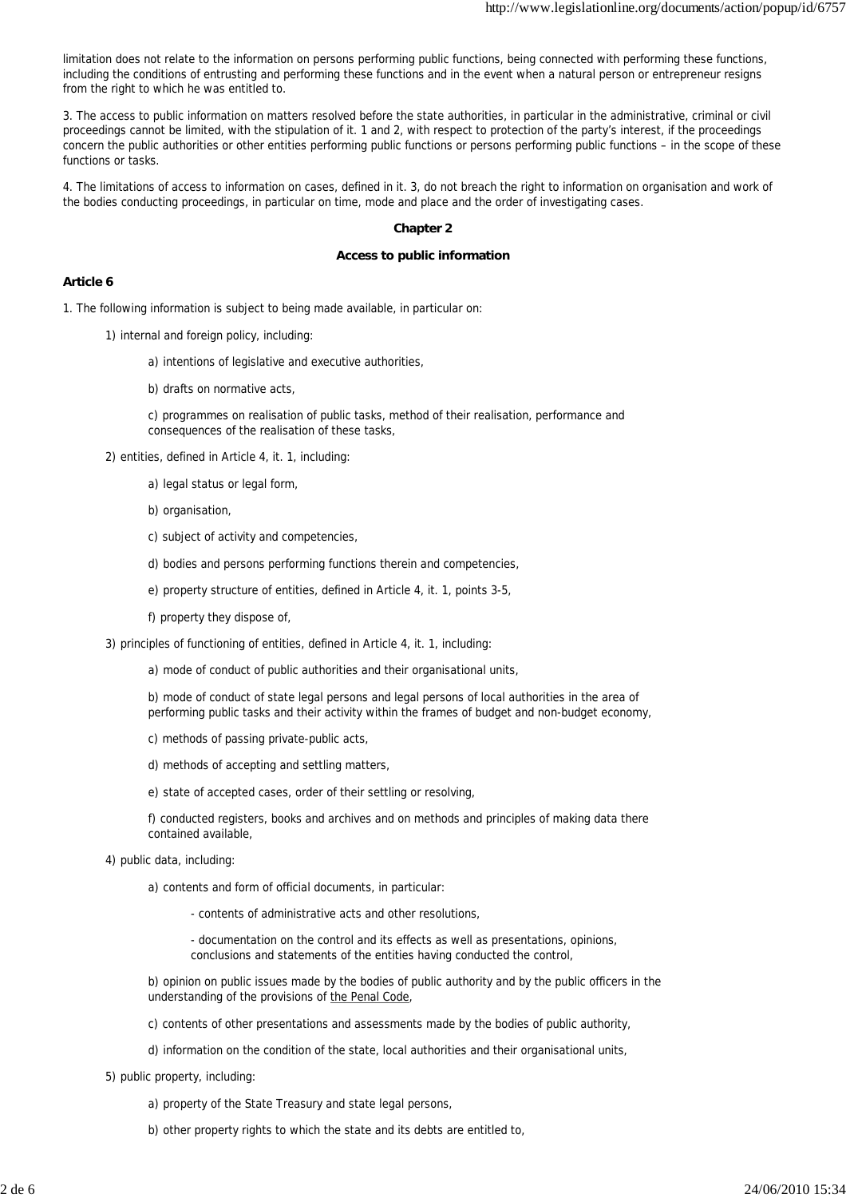limitation does not relate to the information on persons performing public functions, being connected with performing these functions, including the conditions of entrusting and performing these functions and in the event when a natural person or entrepreneur resigns from the right to which he was entitled to.

3. The access to public information on matters resolved before the state authorities, in particular in the administrative, criminal or civil proceedings cannot be limited, with the stipulation of it. 1 and 2, with respect to protection of the party's interest, if the proceedings concern the public authorities or other entities performing public functions or persons performing public functions – in the scope of these functions or tasks.

4. The limitations of access to information on cases, defined in it. 3, do not breach the right to information on organisation and work of the bodies conducting proceedings, in particular on time, mode and place and the order of investigating cases.

## **Chapter 2**

### **Access to public information**

### **Article 6**

1. The following information is subject to being made available, in particular on:

- 1) internal and foreign policy, including:
	- a) intentions of legislative and executive authorities,
	- b) drafts on normative acts,

c) programmes on realisation of public tasks, method of their realisation, performance and consequences of the realisation of these tasks,

2) entities, defined in Article 4, it. 1, including:

- a) legal status or legal form,
- b) organisation,
- c) subject of activity and competencies,
- d) bodies and persons performing functions therein and competencies,
- e) property structure of entities, defined in Article 4, it. 1, points 3-5,
- f) property they dispose of,

3) principles of functioning of entities, defined in Article 4, it. 1, including:

a) mode of conduct of public authorities and their organisational units,

b) mode of conduct of state legal persons and legal persons of local authorities in the area of performing public tasks and their activity within the frames of budget and non-budget economy,

- c) methods of passing private-public acts,
- d) methods of accepting and settling matters,
- e) state of accepted cases, order of their settling or resolving,

f) conducted registers, books and archives and on methods and principles of making data there contained available,

- 4) public data, including:
	- a) contents and form of official documents, in particular:
		- contents of administrative acts and other resolutions,
		- documentation on the control and its effects as well as presentations, opinions, conclusions and statements of the entities having conducted the control,

b) opinion on public issues made by the bodies of public authority and by the public officers in the understanding of the provisions of the Penal Code,

- c) contents of other presentations and assessments made by the bodies of public authority,
- d) information on the condition of the state, local authorities and their organisational units,
- 5) public property, including:
	- a) property of the State Treasury and state legal persons,
	- b) other property rights to which the state and its debts are entitled to,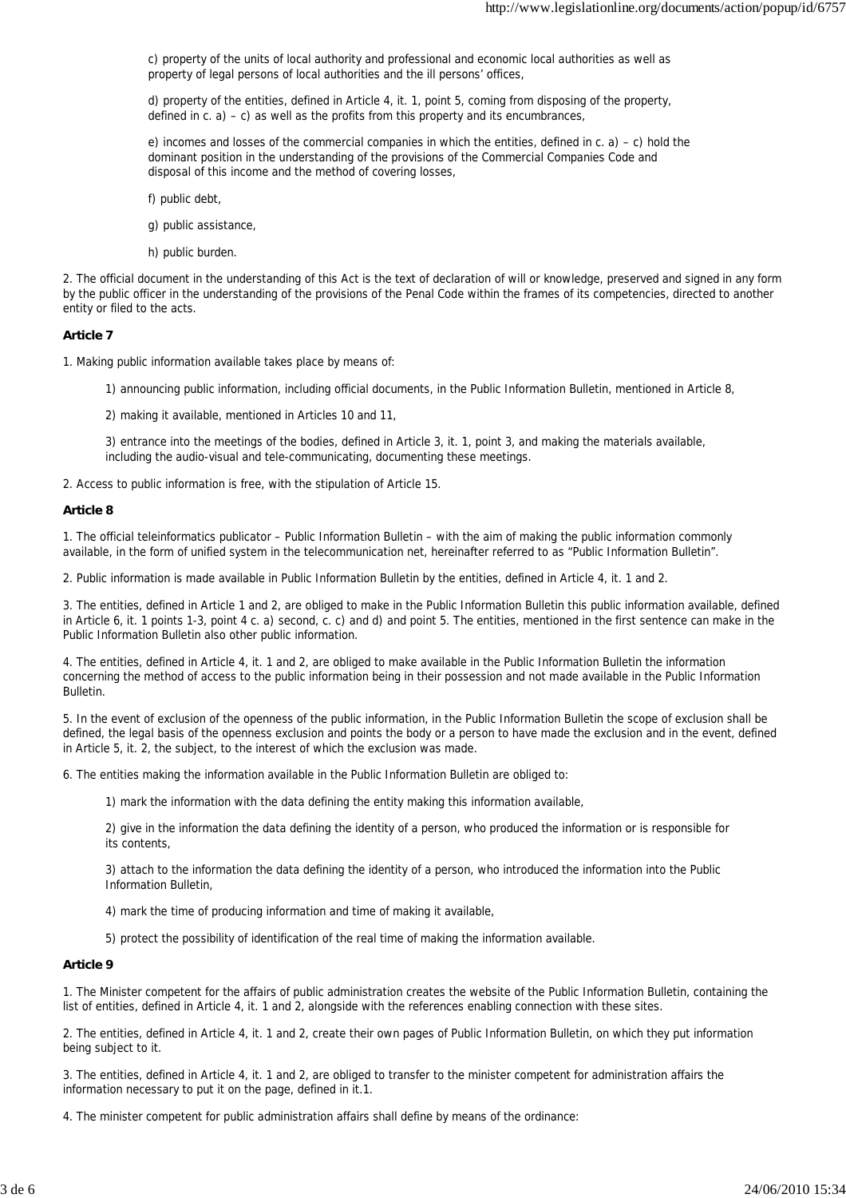c) property of the units of local authority and professional and economic local authorities as well as property of legal persons of local authorities and the ill persons' offices,

d) property of the entities, defined in Article 4, it. 1, point 5, coming from disposing of the property, defined in  $c. a$ ) – c) as well as the profits from this property and its encumbrances,

e) incomes and losses of the commercial companies in which the entities, defined in c. a) – c) hold the dominant position in the understanding of the provisions of the Commercial Companies Code and disposal of this income and the method of covering losses,

f) public debt,

g) public assistance,

h) public burden.

2. The official document in the understanding of this Act is the text of declaration of will or knowledge, preserved and signed in any form by the public officer in the understanding of the provisions of the Penal Code within the frames of its competencies, directed to another entity or filed to the acts.

## **Article 7**

1. Making public information available takes place by means of:

1) announcing public information, including official documents, in the Public Information Bulletin, mentioned in Article 8,

2) making it available, mentioned in Articles 10 and 11,

3) entrance into the meetings of the bodies, defined in Article 3, it. 1, point 3, and making the materials available, including the audio-visual and tele-communicating, documenting these meetings.

2. Access to public information is free, with the stipulation of Article 15.

## **Article 8**

1. The official teleinformatics publicator – Public Information Bulletin – with the aim of making the public information commonly available, in the form of unified system in the telecommunication net, hereinafter referred to as "Public Information Bulletin".

2. Public information is made available in Public Information Bulletin by the entities, defined in Article 4, it. 1 and 2.

3. The entities, defined in Article 1 and 2, are obliged to make in the Public Information Bulletin this public information available, defined in Article 6, it. 1 points 1-3, point 4 c. a) second, c. c) and d) and point 5. The entities, mentioned in the first sentence can make in the Public Information Bulletin also other public information.

4. The entities, defined in Article 4, it. 1 and 2, are obliged to make available in the Public Information Bulletin the information concerning the method of access to the public information being in their possession and not made available in the Public Information Bulletin.

5. In the event of exclusion of the openness of the public information, in the Public Information Bulletin the scope of exclusion shall be defined, the legal basis of the openness exclusion and points the body or a person to have made the exclusion and in the event, defined in Article 5, it. 2, the subject, to the interest of which the exclusion was made.

6. The entities making the information available in the Public Information Bulletin are obliged to:

1) mark the information with the data defining the entity making this information available,

2) give in the information the data defining the identity of a person, who produced the information or is responsible for its contents,

3) attach to the information the data defining the identity of a person, who introduced the information into the Public Information Bulletin,

4) mark the time of producing information and time of making it available,

5) protect the possibility of identification of the real time of making the information available.

## **Article 9**

1. The Minister competent for the affairs of public administration creates the website of the Public Information Bulletin, containing the list of entities, defined in Article 4, it. 1 and 2, alongside with the references enabling connection with these sites.

2. The entities, defined in Article 4, it. 1 and 2, create their own pages of Public Information Bulletin, on which they put information being subject to it.

3. The entities, defined in Article 4, it. 1 and 2, are obliged to transfer to the minister competent for administration affairs the information necessary to put it on the page, defined in it.1.

4. The minister competent for public administration affairs shall define by means of the ordinance: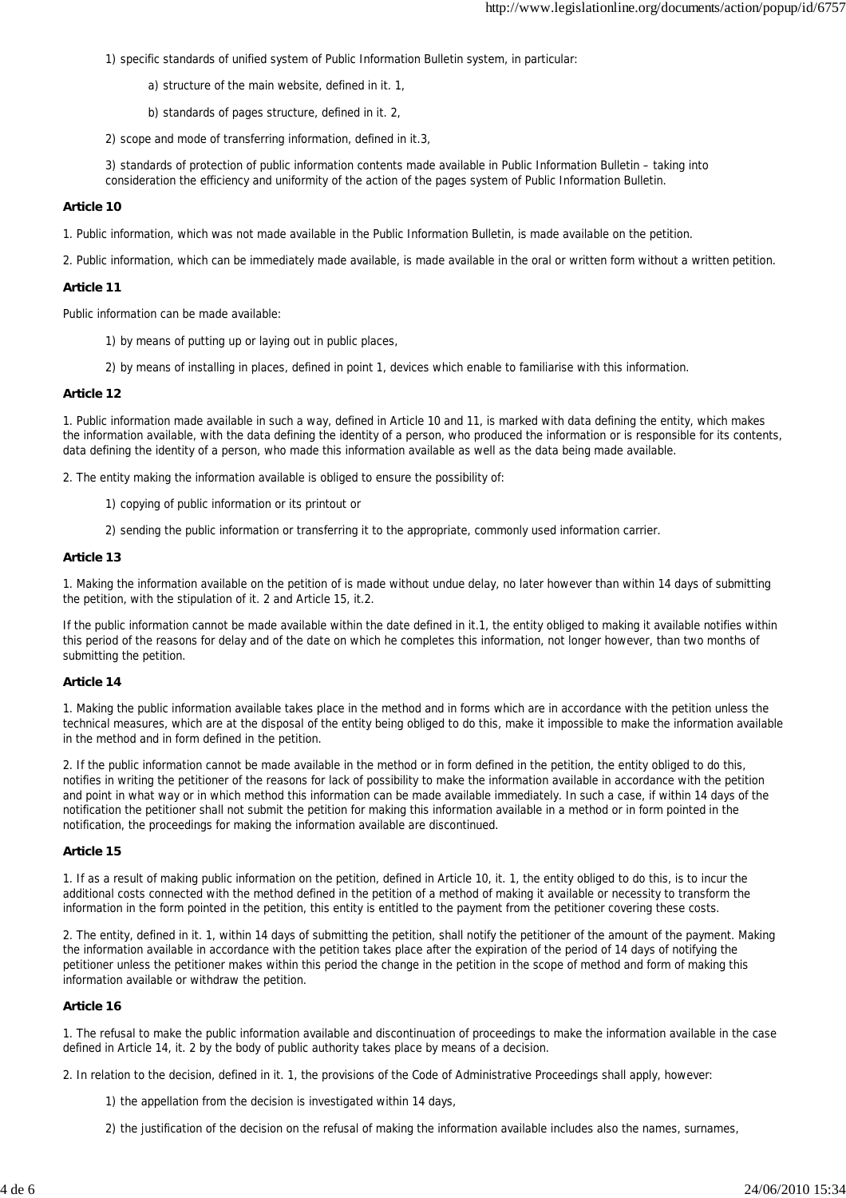1) specific standards of unified system of Public Information Bulletin system, in particular:

a) structure of the main website, defined in it. 1,

b) standards of pages structure, defined in it. 2,

2) scope and mode of transferring information, defined in it.3,

3) standards of protection of public information contents made available in Public Information Bulletin – taking into consideration the efficiency and uniformity of the action of the pages system of Public Information Bulletin.

### **Article 10**

1. Public information, which was not made available in the Public Information Bulletin, is made available on the petition.

2. Public information, which can be immediately made available, is made available in the oral or written form without a written petition.

### **Article 11**

Public information can be made available:

- 1) by means of putting up or laying out in public places,
- 2) by means of installing in places, defined in point 1, devices which enable to familiarise with this information.

## **Article 12**

1. Public information made available in such a way, defined in Article 10 and 11, is marked with data defining the entity, which makes the information available, with the data defining the identity of a person, who produced the information or is responsible for its contents, data defining the identity of a person, who made this information available as well as the data being made available.

2. The entity making the information available is obliged to ensure the possibility of:

- 1) copying of public information or its printout or
- 2) sending the public information or transferring it to the appropriate, commonly used information carrier.

### **Article 13**

1. Making the information available on the petition of is made without undue delay, no later however than within 14 days of submitting the petition, with the stipulation of it. 2 and Article 15, it.2.

If the public information cannot be made available within the date defined in it.1, the entity obliged to making it available notifies within this period of the reasons for delay and of the date on which he completes this information, not longer however, than two months of submitting the petition.

## **Article 14**

1. Making the public information available takes place in the method and in forms which are in accordance with the petition unless the technical measures, which are at the disposal of the entity being obliged to do this, make it impossible to make the information available in the method and in form defined in the petition.

2. If the public information cannot be made available in the method or in form defined in the petition, the entity obliged to do this, notifies in writing the petitioner of the reasons for lack of possibility to make the information available in accordance with the petition and point in what way or in which method this information can be made available immediately. In such a case, if within 14 days of the notification the petitioner shall not submit the petition for making this information available in a method or in form pointed in the notification, the proceedings for making the information available are discontinued.

#### **Article 15**

1. If as a result of making public information on the petition, defined in Article 10, it. 1, the entity obliged to do this, is to incur the additional costs connected with the method defined in the petition of a method of making it available or necessity to transform the information in the form pointed in the petition, this entity is entitled to the payment from the petitioner covering these costs.

2. The entity, defined in it. 1, within 14 days of submitting the petition, shall notify the petitioner of the amount of the payment. Making the information available in accordance with the petition takes place after the expiration of the period of 14 days of notifying the petitioner unless the petitioner makes within this period the change in the petition in the scope of method and form of making this information available or withdraw the petition.

## **Article 16**

1. The refusal to make the public information available and discontinuation of proceedings to make the information available in the case defined in Article 14, it. 2 by the body of public authority takes place by means of a decision.

2. In relation to the decision, defined in it. 1, the provisions of the Code of Administrative Proceedings shall apply, however:

- 1) the appellation from the decision is investigated within 14 days,
- 2) the justification of the decision on the refusal of making the information available includes also the names, surnames,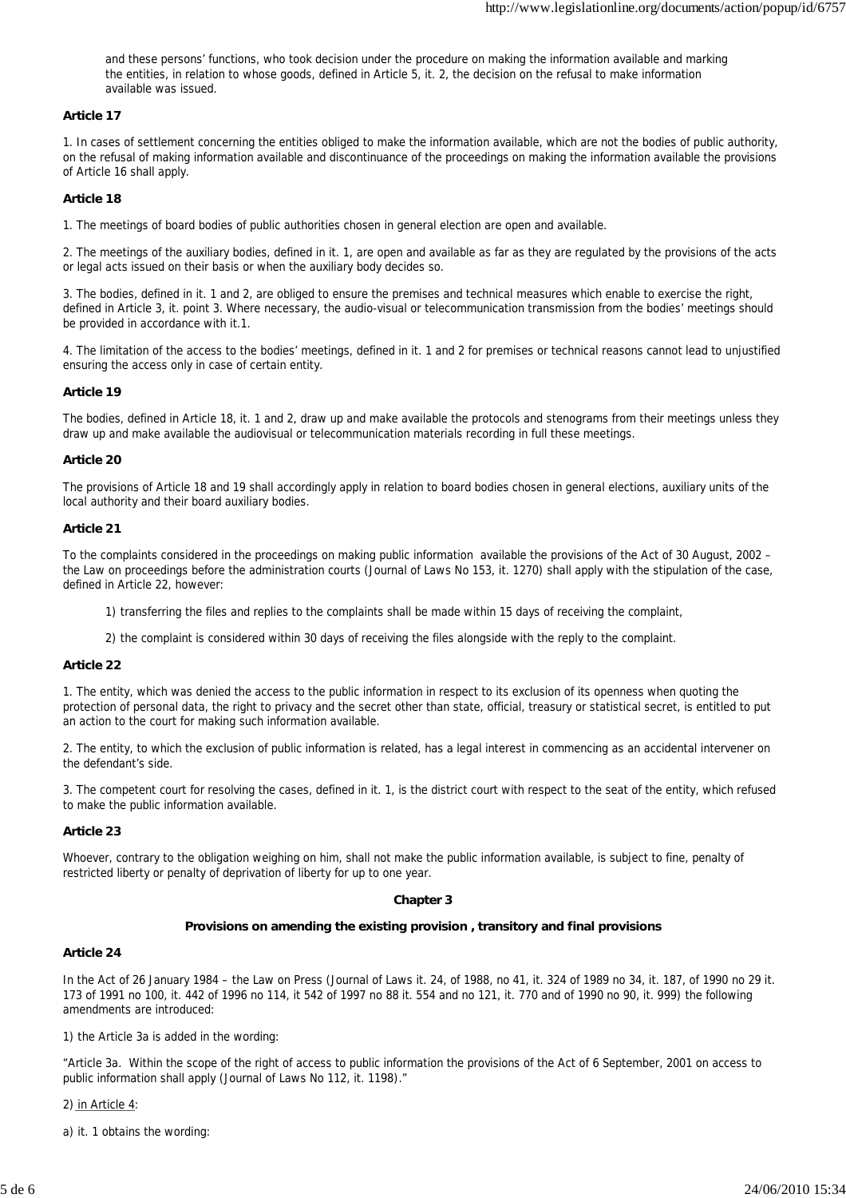and these persons' functions, who took decision under the procedure on making the information available and marking the entities, in relation to whose goods, defined in Article 5, it. 2, the decision on the refusal to make information available was issued.

# **Article 17**

1. In cases of settlement concerning the entities obliged to make the information available, which are not the bodies of public authority, on the refusal of making information available and discontinuance of the proceedings on making the information available the provisions of Article 16 shall apply.

## **Article 18**

1. The meetings of board bodies of public authorities chosen in general election are open and available.

2. The meetings of the auxiliary bodies, defined in it. 1, are open and available as far as they are regulated by the provisions of the acts or legal acts issued on their basis or when the auxiliary body decides so.

3. The bodies, defined in it. 1 and 2, are obliged to ensure the premises and technical measures which enable to exercise the right, defined in Article 3, it. point 3. Where necessary, the audio-visual or telecommunication transmission from the bodies' meetings should be provided in accordance with it.1.

4. The limitation of the access to the bodies' meetings, defined in it. 1 and 2 for premises or technical reasons cannot lead to unjustified ensuring the access only in case of certain entity.

## **Article 19**

The bodies, defined in Article 18, it. 1 and 2, draw up and make available the protocols and stenograms from their meetings unless they draw up and make available the audiovisual or telecommunication materials recording in full these meetings.

## **Article 20**

The provisions of Article 18 and 19 shall accordingly apply in relation to board bodies chosen in general elections, auxiliary units of the local authority and their board auxiliary bodies.

## **Article 21**

To the complaints considered in the proceedings on making public information available the provisions of the Act of 30 August, 2002 – the Law on proceedings before the administration courts (Journal of Laws No 153, it. 1270) shall apply with the stipulation of the case, defined in Article 22, however:

- 1) transferring the files and replies to the complaints shall be made within 15 days of receiving the complaint,
- 2) the complaint is considered within 30 days of receiving the files alongside with the reply to the complaint.

## **Article 22**

1. The entity, which was denied the access to the public information in respect to its exclusion of its openness when quoting the protection of personal data, the right to privacy and the secret other than state, official, treasury or statistical secret, is entitled to put an action to the court for making such information available.

2. The entity, to which the exclusion of public information is related, has a legal interest in commencing as an accidental intervener on the defendant's side.

3. The competent court for resolving the cases, defined in it. 1, is the district court with respect to the seat of the entity, which refused to make the public information available.

## **Article 23**

Whoever, contrary to the obligation weighing on him, shall not make the public information available, is subject to fine, penalty of restricted liberty or penalty of deprivation of liberty for up to one year.

## **Chapter 3**

## **Provisions on amending the existing provision , transitory and final provisions**

# **Article 24**

In the Act of 26 January 1984 – the Law on Press (Journal of Laws it. 24, of 1988, no 41, it. 324 of 1989 no 34, it. 187, of 1990 no 29 it. 173 of 1991 no 100, it. 442 of 1996 no 114, it 542 of 1997 no 88 it. 554 and no 121, it. 770 and of 1990 no 90, it. 999) the following amendments are introduced:

1) the Article 3a is added in the wording:

"Article 3a. Within the scope of the right of access to public information the provisions of the Act of 6 September, 2001 on access to public information shall apply (Journal of Laws No 112, it. 1198)."

2) in Article 4:

a) it. 1 obtains the wording: